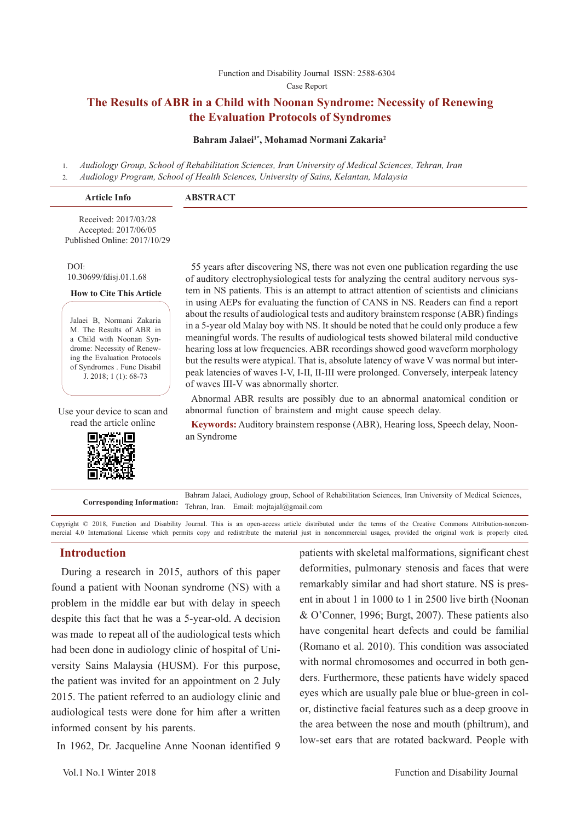#### Function and Disability Journal ISSN: 2588-6304 Case Report

## **The Results of ABR in a Child with Noonan Syndrome: Necessity of Renewing the Evaluation Protocols of Syndromes**

#### **Bahram Jalaei1\*, Mohamad Normani Zakaria2**

1. *Audiology Group, School of Rehabilitation Sciences, Iran University of Medical Sciences, Tehran, Iran* 2. *Audiology Program, School of Health Sciences, University of Sains, Kelantan, Malaysia*

| <b>Article Info</b>                                                          | <b>ABSTRACT</b> |
|------------------------------------------------------------------------------|-----------------|
| Received: 2017/03/28<br>Accepted: 2017/06/05<br>Published Online: 2017/10/29 |                 |

DOI: 10.30699/fdisj.01.1.68

#### **How to Cite This Article**

Jalaei B, Normani Zakaria M. The Results of ABR in a Child with Noonan Syndrome: Necessity of Renewing the Evaluation Protocols of Syndromes . Func Disabil J. 2018; 1 (1): 68-73

Use your device to scan and read the article online



55 years after discovering NS, there was not even one publication regarding the use of auditory electrophysiological tests for analyzing the central auditory nervous system in NS patients. This is an attempt to attract attention of scientists and clinicians in using AEPs for evaluating the function of CANS in NS. Readers can find a report about the results of audiological tests and auditory brainstem response (ABR) findings in a 5-year old Malay boy with NS. It should be noted that he could only produce a few meaningful words. The results of audiological tests showed bilateral mild conductive hearing loss at low frequencies. ABR recordings showed good waveform morphology but the results were atypical. That is, absolute latency of wave V was normal but interpeak latencies of waves I-V, I-II, II-III were prolonged. Conversely, interpeak latency of waves III-V was abnormally shorter.

Abnormal ABR results are possibly due to an abnormal anatomical condition or abnormal function of brainstem and might cause speech delay.

**Keywords:** Auditory brainstem response (ABR), Hearing loss, Speech delay, Noonan Syndrome

**Corresponding Information:** Bahram Jalaei, Audiology group, School of Rehabilitation Sciences, Iran University of Medical Sciences, Tehran, Iran. Email: mojtajal@gmail.com

Copyright © 2018, Function and Disability Journal. This is an open-access article distributed under the terms of the Creative Commons Attribution-noncommercial 4.0 International License which permits copy and redistribute the material just in noncommercial usages, provided the original work is properly cited.

## **Introduction**

 During a research in 2015, authors of this paper found a patient with Noonan syndrome (NS) with a problem in the middle ear but with delay in speech despite this fact that he was a 5-year-old. A decision was made to repeat all of the audiological tests which had been done in audiology clinic of hospital of University Sains Malaysia (HUSM). For this purpose, the patient was invited for an appointment on 2 July 2015. The patient referred to an audiology clinic and audiological tests were done for him after a written informed consent by his parents.

In 1962, Dr. Jacqueline Anne Noonan identified 9

patients with skeletal malformations, significant chest deformities, pulmonary stenosis and faces that were remarkably similar and had short stature. NS is present in about 1 in 1000 to 1 in 2500 live birth (Noonan & O'Conner, 1996; Burgt, 2007). These patients also have congenital heart defects and could be familial (Romano et al. 2010). This condition was associated with normal chromosomes and occurred in both genders. Furthermore, these patients have widely spaced eyes which are usually pale blue or blue-green in color, distinctive facial features such as a deep groove in the area between the nose and mouth (philtrum), and low-set ears that are rotated backward. People with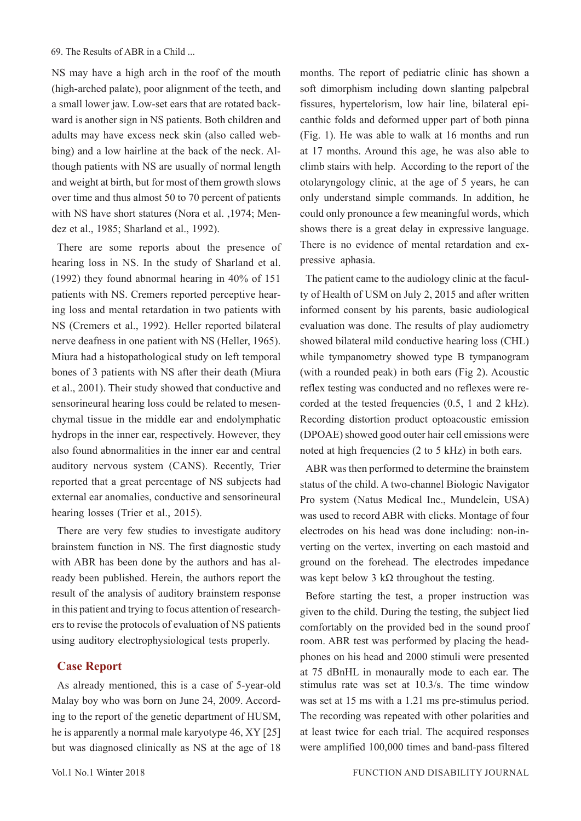NS may have a high arch in the roof of the mouth (high-arched palate), poor alignment of the teeth, and a small lower jaw. Low-set ears that are rotated backward is another sign in NS patients. Both children and adults may have excess neck skin (also called webbing) and a low hairline at the back of the neck. Although patients with NS are usually of normal length and weight at birth, but for most of them growth slows over time and thus almost 50 to 70 percent of patients with NS have short statures (Nora et al. ,1974; Mendez et al., 1985; Sharland et al., 1992).

There are some reports about the presence of hearing loss in NS. In the study of Sharland et al. (1992) they found abnormal hearing in 40% of 151 patients with NS. Cremers reported perceptive hearing loss and mental retardation in two patients with NS (Cremers et al., 1992). Heller reported bilateral nerve deafness in one patient with NS (Heller, 1965). Miura had a histopathological study on left temporal bones of 3 patients with NS after their death (Miura et al., 2001). Their study showed that conductive and sensorineural hearing loss could be related to mesenchymal tissue in the middle ear and endolymphatic hydrops in the inner ear, respectively. However, they also found abnormalities in the inner ear and central auditory nervous system (CANS). Recently, Trier reported that a great percentage of NS subjects had external ear anomalies, conductive and sensorineural hearing losses (Trier et al., 2015).

There are very few studies to investigate auditory brainstem function in NS. The first diagnostic study with ABR has been done by the authors and has already been published. Herein, the authors report the result of the analysis of auditory brainstem response in this patient and trying to focus attention of researchers to revise the protocols of evaluation of NS patients using auditory electrophysiological tests properly.

## **Case Report**

As already mentioned, this is a case of 5-year-old Malay boy who was born on June 24, 2009. According to the report of the genetic department of HUSM, he is apparently a normal male karyotype 46, XY [25] but was diagnosed clinically as NS at the age of 18

months. The report of pediatric clinic has shown a soft dimorphism including down slanting palpebral fissures, hypertelorism, low hair line, bilateral epicanthic folds and deformed upper part of both pinna (Fig. 1). He was able to walk at 16 months and run at 17 months. Around this age, he was also able to climb stairs with help. According to the report of the otolaryngology clinic, at the age of 5 years, he can only understand simple commands. In addition, he could only pronounce a few meaningful words, which shows there is a great delay in expressive language. There is no evidence of mental retardation and expressive aphasia.

The patient came to the audiology clinic at the faculty of Health of USM on July 2, 2015 and after written informed consent by his parents, basic audiological evaluation was done. The results of play audiometry showed bilateral mild conductive hearing loss (CHL) while tympanometry showed type B tympanogram (with a rounded peak) in both ears (Fig 2). Acoustic reflex testing was conducted and no reflexes were recorded at the tested frequencies (0.5, 1 and 2 kHz). Recording distortion product optoacoustic emission (DPOAE) showed good outer hair cell emissions were noted at high frequencies (2 to 5 kHz) in both ears.

ABR was then performed to determine the brainstem status of the child. A two-channel Biologic Navigator Pro system (Natus Medical Inc., Mundelein, USA) was used to record ABR with clicks. Montage of four electrodes on his head was done including: non-inverting on the vertex, inverting on each mastoid and ground on the forehead. The electrodes impedance was kept below 3 k $\Omega$  throughout the testing.

Before starting the test, a proper instruction was given to the child. During the testing, the subject lied comfortably on the provided bed in the sound proof room. ABR test was performed by placing the headphones on his head and 2000 stimuli were presented at 75 dBnHL in monaurally mode to each ear. The stimulus rate was set at 10.3/s. The time window was set at 15 ms with a 1.21 ms pre-stimulus period. The recording was repeated with other polarities and at least twice for each trial. The acquired responses were amplified 100,000 times and band-pass filtered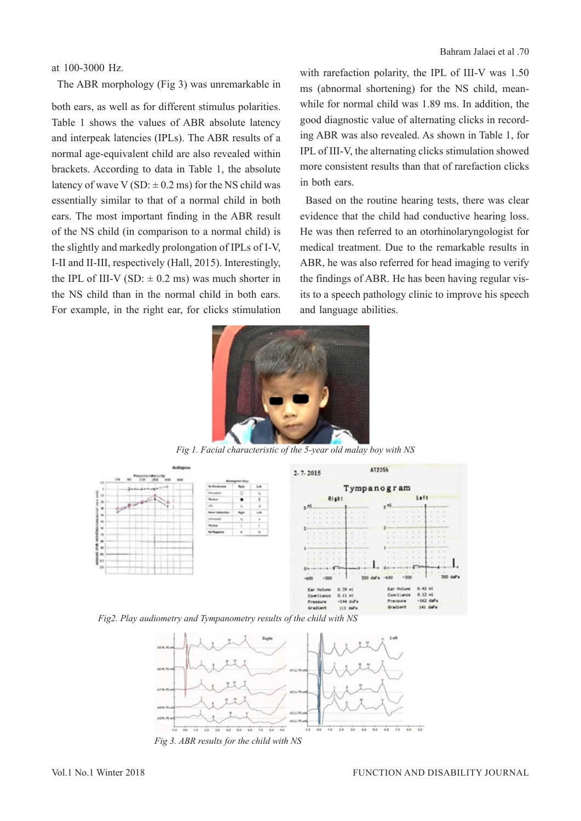#### at 100-3000 Hz.

The ABR morphology (Fig 3) was unremarkable in

both ears, as well as for different stimulus polarities. Table 1 shows the values of ABR absolute latency and interpeak latencies (IPLs). The ABR results of a normal age-equivalent child are also revealed within brackets. According to data in Table 1, the absolute latency of wave V (SD:  $\pm$  0.2 ms) for the NS child was essentially similar to that of a normal child in both ears. The most important finding in the ABR result of the NS child (in comparison to a normal child) is the slightly and markedly prolongation of IPLs of I-V, I-II and II-III, respectively (Hall, 2015). Interestingly, the IPL of III-V (SD:  $\pm$  0.2 ms) was much shorter in the NS child than in the normal child in both ears. For example, in the right ear, for clicks stimulation with rarefaction polarity, the IPL of III-V was 1.50 ms (abnormal shortening) for the NS child, meanwhile for normal child was 1.89 ms. In addition, the good diagnostic value of alternating clicks in recording ABR was also revealed. As shown in Table 1, for IPL of III-V, the alternating clicks stimulation showed more consistent results than that of rarefaction clicks in both ears.

Based on the routine hearing tests, there was clear evidence that the child had conductive hearing loss. He was then referred to an otorhinolaryngologist for medical treatment. Due to the remarkable results in ABR, he was also referred for head imaging to verify the findings of ABR. He has been having regular visits to a speech pathology clinic to improve his speech and language abilities.



*Fig 1. Facial characteristic of the 5-year old malay boy with NS*



*Fig2. Play audiometry and Tympanometry results of the child with NS*



*Fig 3. ABR results for the child with NS*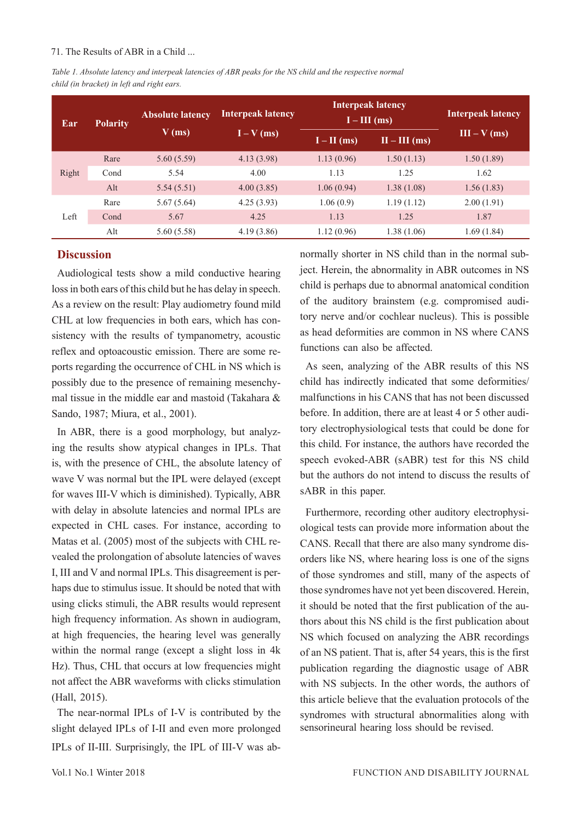#### 71. The Results of ABR in a Child ...

*Table 1. Absolute latency and interpeak latencies of ABR peaks for the NS child and the respective normal child (in bracket) in left and right ears.*

| Ear   | <b>Polarity</b> | <b>Absolute latency</b><br>$V$ (ms) | <b>Interpeak latency</b><br>$I - V$ (ms) | <b>Interpeak latency</b><br>$I - III$ (ms) |                 | <b>Interpeak latency</b> |
|-------|-----------------|-------------------------------------|------------------------------------------|--------------------------------------------|-----------------|--------------------------|
|       |                 |                                     |                                          | $I - II$ (ms)                              | $II - III$ (ms) | $III - V (ms)$           |
| Right | Rare            | 5.60(5.59)                          | 4.13(3.98)                               | 1.13(0.96)                                 | 1.50(1.13)      | 1.50(1.89)               |
|       | Cond            | 5.54                                | 4.00                                     | 1.13                                       | 1.25            | 1.62                     |
|       | Alt             | 5.54(5.51)                          | 4.00(3.85)                               | 1.06(0.94)                                 | 1.38(1.08)      | 1.56(1.83)               |
| Left  | Rare            | 5.67(5.64)                          | 4.25(3.93)                               | 1.06(0.9)                                  | 1.19(1.12)      | 2.00(1.91)               |
|       | Cond            | 5.67                                | 4.25                                     | 1.13                                       | 1.25            | 1.87                     |
|       | Alt             | 5.60(5.58)                          | 4.19(3.86)                               | 1.12(0.96)                                 | 1.38(1.06)      | 1.69(1.84)               |

#### **Discussion**

Audiological tests show a mild conductive hearing loss in both ears of this child but he has delay in speech. As a review on the result: Play audiometry found mild CHL at low frequencies in both ears, which has consistency with the results of tympanometry, acoustic reflex and optoacoustic emission. There are some reports regarding the occurrence of CHL in NS which is possibly due to the presence of remaining mesenchymal tissue in the middle ear and mastoid (Takahara & Sando, 1987; Miura, et al., 2001).

In ABR, there is a good morphology, but analyzing the results show atypical changes in IPLs. That is, with the presence of CHL, the absolute latency of wave V was normal but the IPL were delayed (except for waves III-V which is diminished). Typically, ABR with delay in absolute latencies and normal IPLs are expected in CHL cases. For instance, according to Matas et al. (2005) most of the subjects with CHL revealed the prolongation of absolute latencies of waves I, III and V and normal IPLs. This disagreement is perhaps due to stimulus issue. It should be noted that with using clicks stimuli, the ABR results would represent high frequency information. As shown in audiogram, at high frequencies, the hearing level was generally within the normal range (except a slight loss in 4k Hz). Thus, CHL that occurs at low frequencies might not affect the ABR waveforms with clicks stimulation (Hall, 2015).

The near-normal IPLs of I-V is contributed by the slight delayed IPLs of I-II and even more prolonged IPLs of II-III. Surprisingly, the IPL of III-V was ab-

normally shorter in NS child than in the normal subject. Herein, the abnormality in ABR outcomes in NS child is perhaps due to abnormal anatomical condition of the auditory brainstem (e.g. compromised auditory nerve and/or cochlear nucleus). This is possible as head deformities are common in NS where CANS functions can also be affected.

As seen, analyzing of the ABR results of this NS child has indirectly indicated that some deformities/ malfunctions in his CANS that has not been discussed before. In addition, there are at least 4 or 5 other auditory electrophysiological tests that could be done for this child. For instance, the authors have recorded the speech evoked-ABR (sABR) test for this NS child but the authors do not intend to discuss the results of sABR in this paper.

Furthermore, recording other auditory electrophysiological tests can provide more information about the CANS. Recall that there are also many syndrome disorders like NS, where hearing loss is one of the signs of those syndromes and still, many of the aspects of those syndromes have not yet been discovered. Herein, it should be noted that the first publication of the authors about this NS child is the first publication about NS which focused on analyzing the ABR recordings of an NS patient. That is, after 54 years, this is the first publication regarding the diagnostic usage of ABR with NS subjects. In the other words, the authors of this article believe that the evaluation protocols of the syndromes with structural abnormalities along with sensorineural hearing loss should be revised.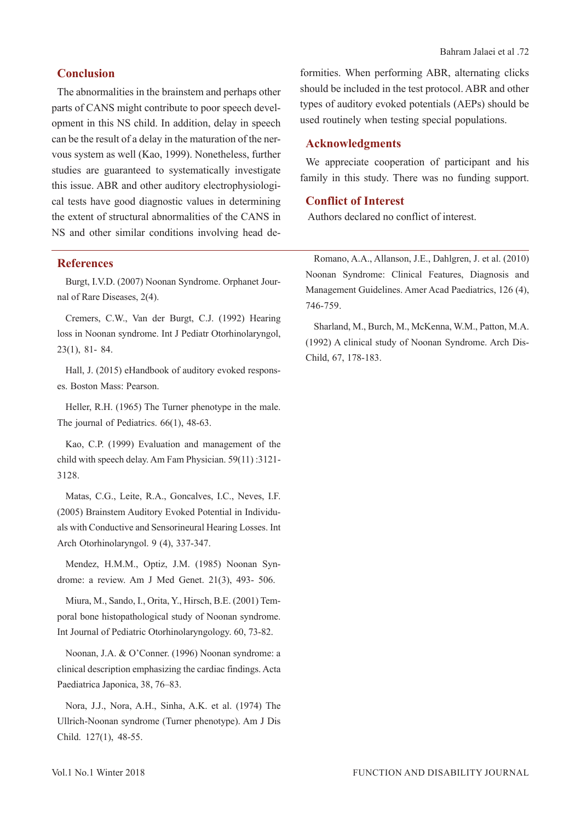The abnormalities in the brainstem and perhaps other parts of CANS might contribute to poor speech development in this NS child. In addition, delay in speech can be the result of a delay in the maturation of the nervous system as well (Kao, 1999). Nonetheless, further studies are guaranteed to systematically investigate this issue. ABR and other auditory electrophysiological tests have good diagnostic values in determining the extent of structural abnormalities of the CANS in NS and other similar conditions involving head de-

## **References**

Burgt, I.V.D. (2007) Noonan Syndrome. Orphanet Journal of Rare Diseases, 2(4).

Cremers, C.W., Van der Burgt, C.J. (1992) Hearing loss in Noonan syndrome. Int J Pediatr Otorhinolaryngol, 23(1), 81- 84.

Hall, J. (2015) eHandbook of auditory evoked responses. Boston Mass: Pearson.

Heller, R.H. (1965) The Turner phenotype in the male. The journal of Pediatrics. 66(1), 48-63.

Kao, C.P. (1999) Evaluation and management of the child with speech delay. Am Fam Physician. 59(11) :3121- 3128.

Matas, C.G., Leite, R.A., Goncalves, I.C., Neves, I.F. (2005) Brainstem Auditory Evoked Potential in Individuals with Conductive and Sensorineural Hearing Losses. Int Arch Otorhinolaryngol. 9 (4), 337-347.

Mendez, H.M.M., Optiz, J.M. (1985) Noonan Syndrome: a review. Am J Med Genet. 21(3), 493- 506.

Miura, M., Sando, I., Orita, Y., Hirsch, B.E. (2001) Temporal bone histopathological study of Noonan syndrome. Int Journal of Pediatric Otorhinolaryngology. 60, 73-82.

Noonan, J.A. & O'Conner. (1996) Noonan syndrome: a clinical description emphasizing the cardiac findings. Acta Paediatrica Japonica, 38, 76–83.

Nora, J.J., Nora, A.H., Sinha, A.K. et al. (1974) The Ullrich-Noonan syndrome (Turner phenotype). Am J Dis Child. 127(1), 48-55.

formities. When performing ABR, alternating clicks should be included in the test protocol. ABR and other types of auditory evoked potentials (AEPs) should be used routinely when testing special populations.

## **Acknowledgments**

We appreciate cooperation of participant and his family in this study. There was no funding support.

#### **Conflict of Interest**

Authors declared no conflict of interest.

Romano, A.A., Allanson, J.E., Dahlgren, J. et al. (2010) Noonan Syndrome: Clinical Features, Diagnosis and Management Guidelines. Amer Acad Paediatrics, 126 (4), 746-759.

Sharland, M., Burch, M., McKenna, W.M., Patton, M.A. (1992) A clinical study of Noonan Syndrome. Arch Dis-Child, 67, 178-183.